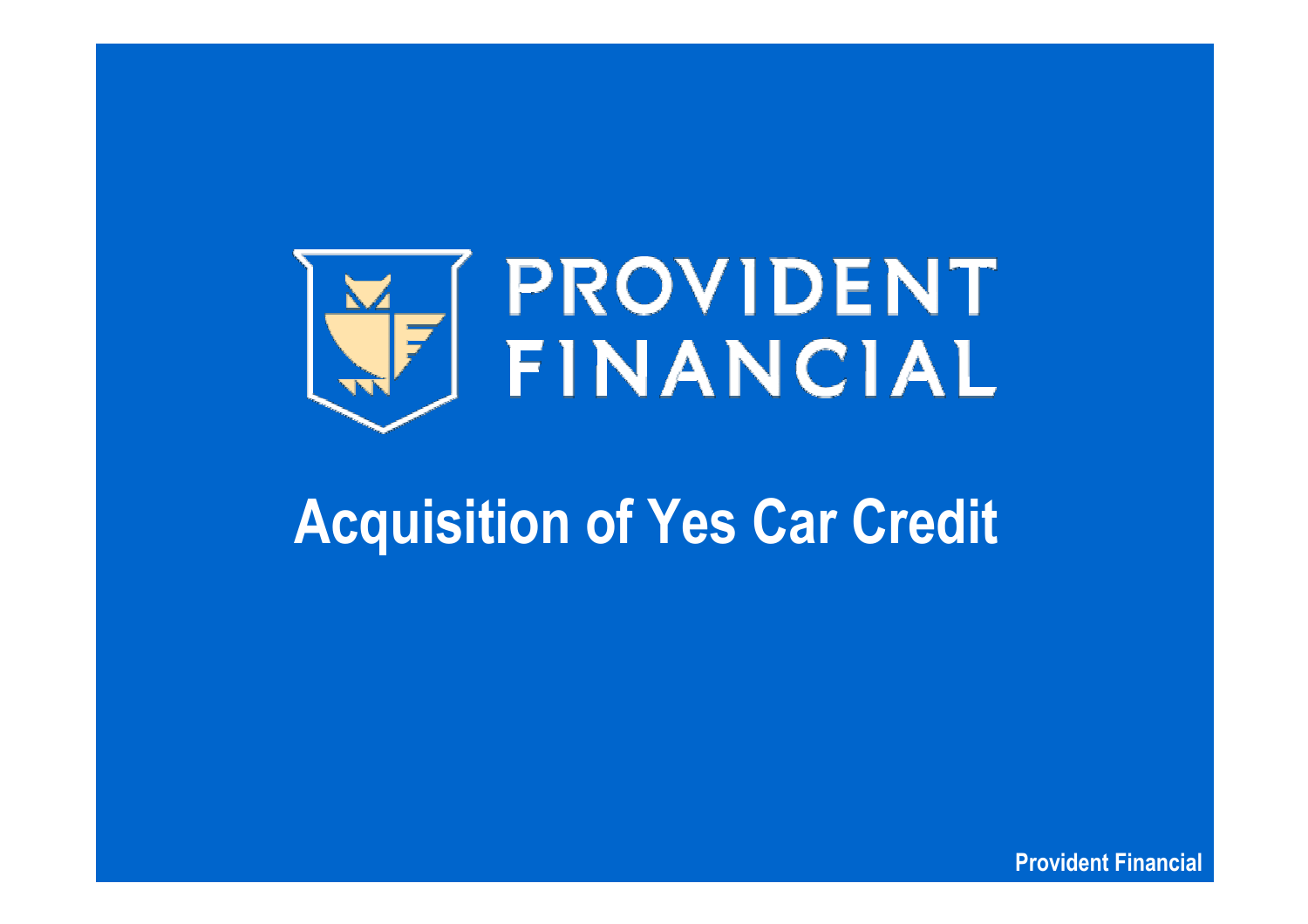

# **Acquisition of Yes Car Credit**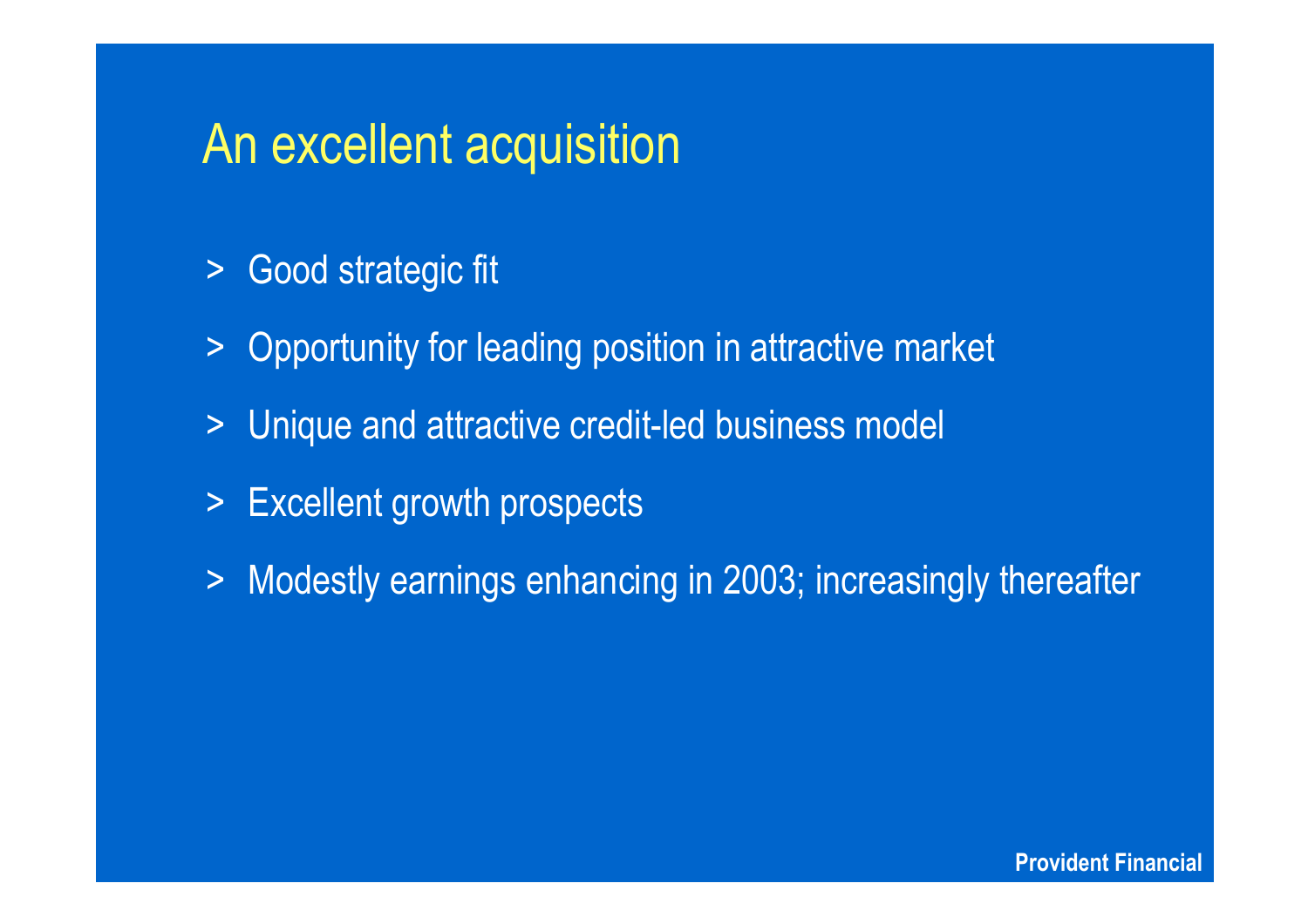## An excellent acquisition

- > Good strategic fit
- $\geq$ Opportunity for leading position in attractive market
- >Unique and attractive credit-led business model
- > Excellent growth prospects
- $\geq$ Modestly earnings enhancing in 2003; increasingly thereafter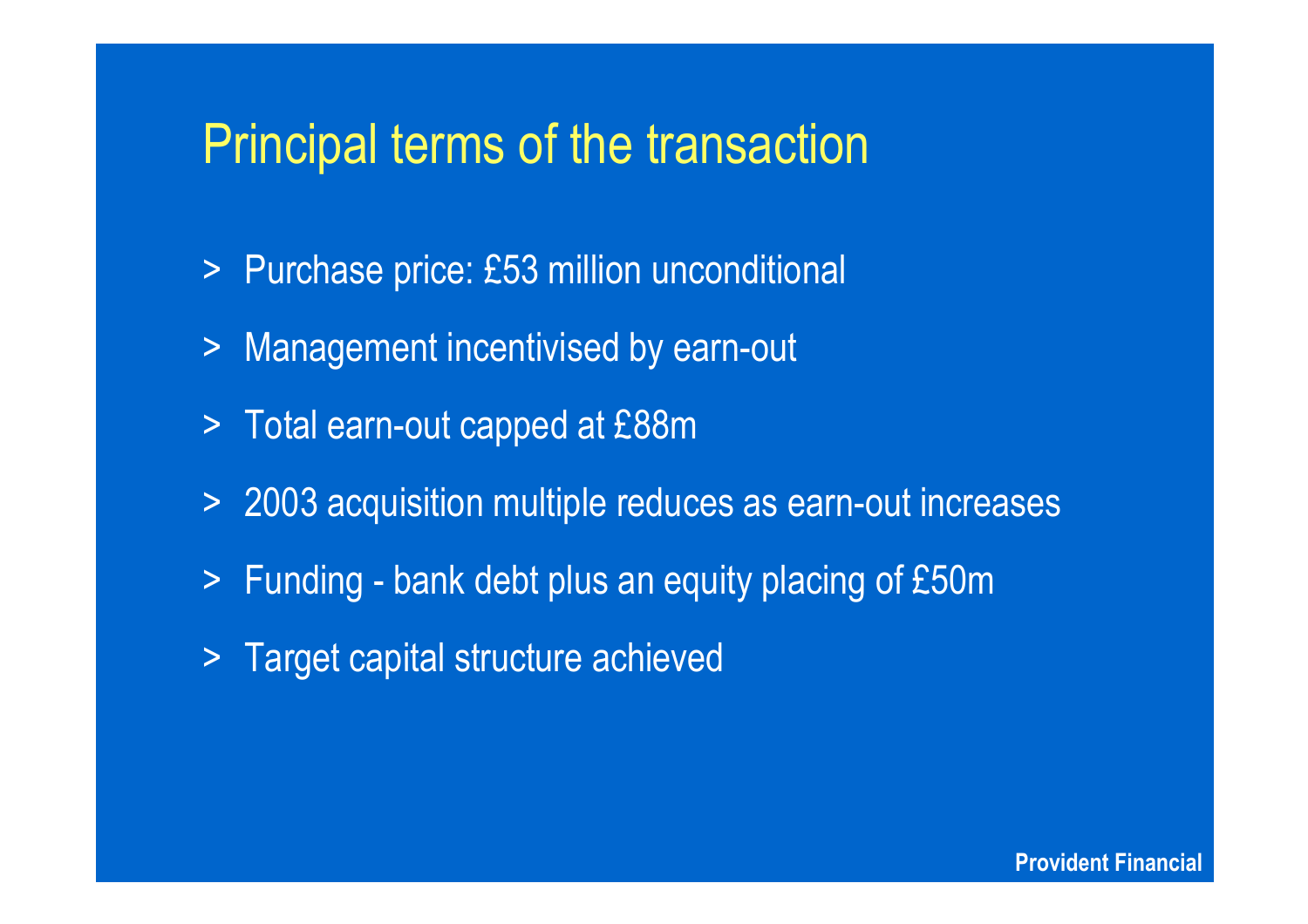### Principal terms of the transaction

- > Purchase price: £53 million unconditional
- > Management incentivised by earn-out
- > Total earn-out capped at £88m
- > 2003 acquisition multiple reduces as earn-out increases
- $\geq$ Funding - bank debt plus an equity placing of £50m
- > Target capital structure achieved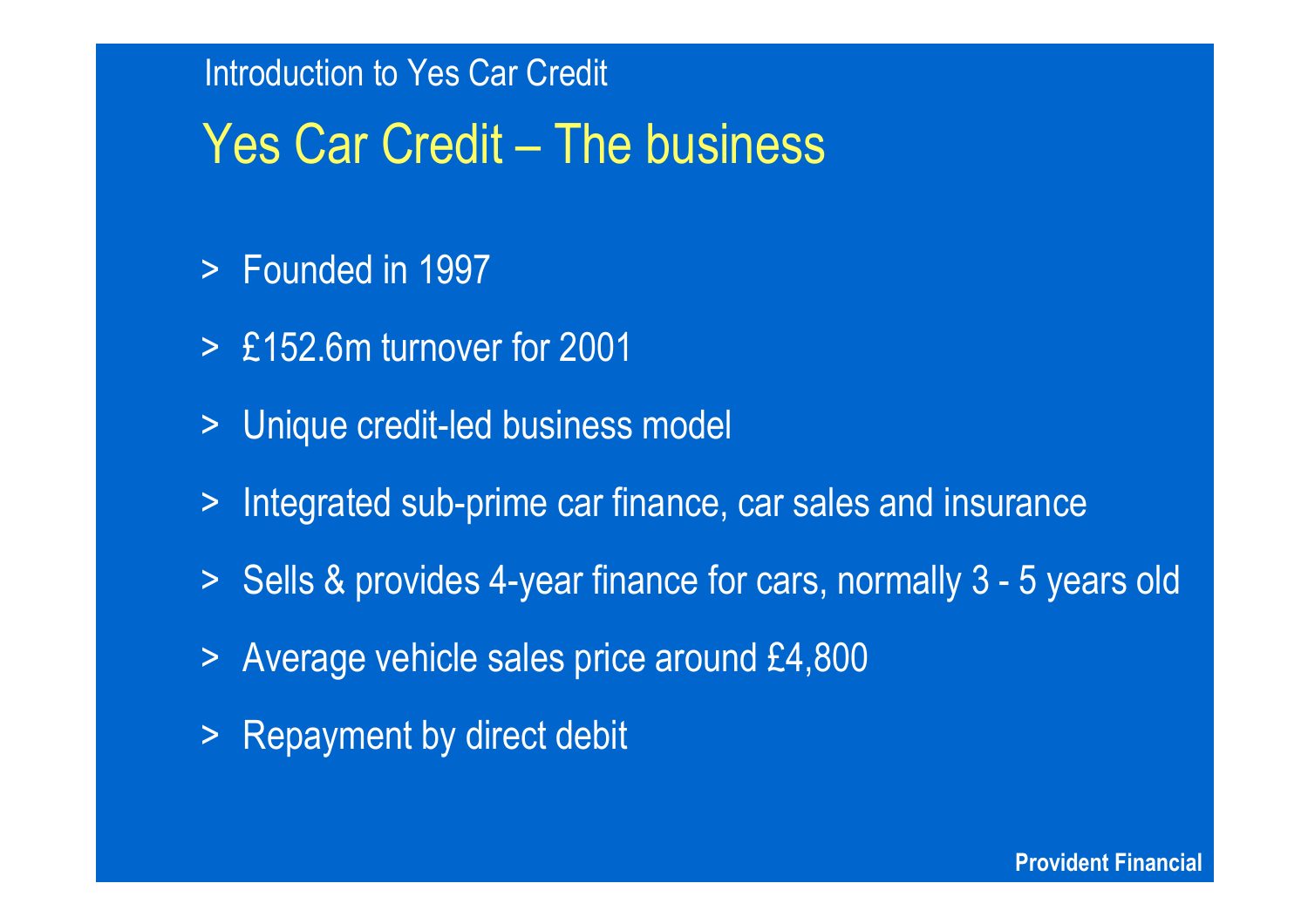## Yes Car Credit – The business

- >Founded in 1997
- > £152.6m turnover for 2001
- > Unique credit-led business model
- > Integrated sub-prime car finance, car sales and insurance
- > Sells & provides 4-year finance for cars, normally 3 5 years old
- > Average vehicle sales price around £4,800
- > Repayment by direct debit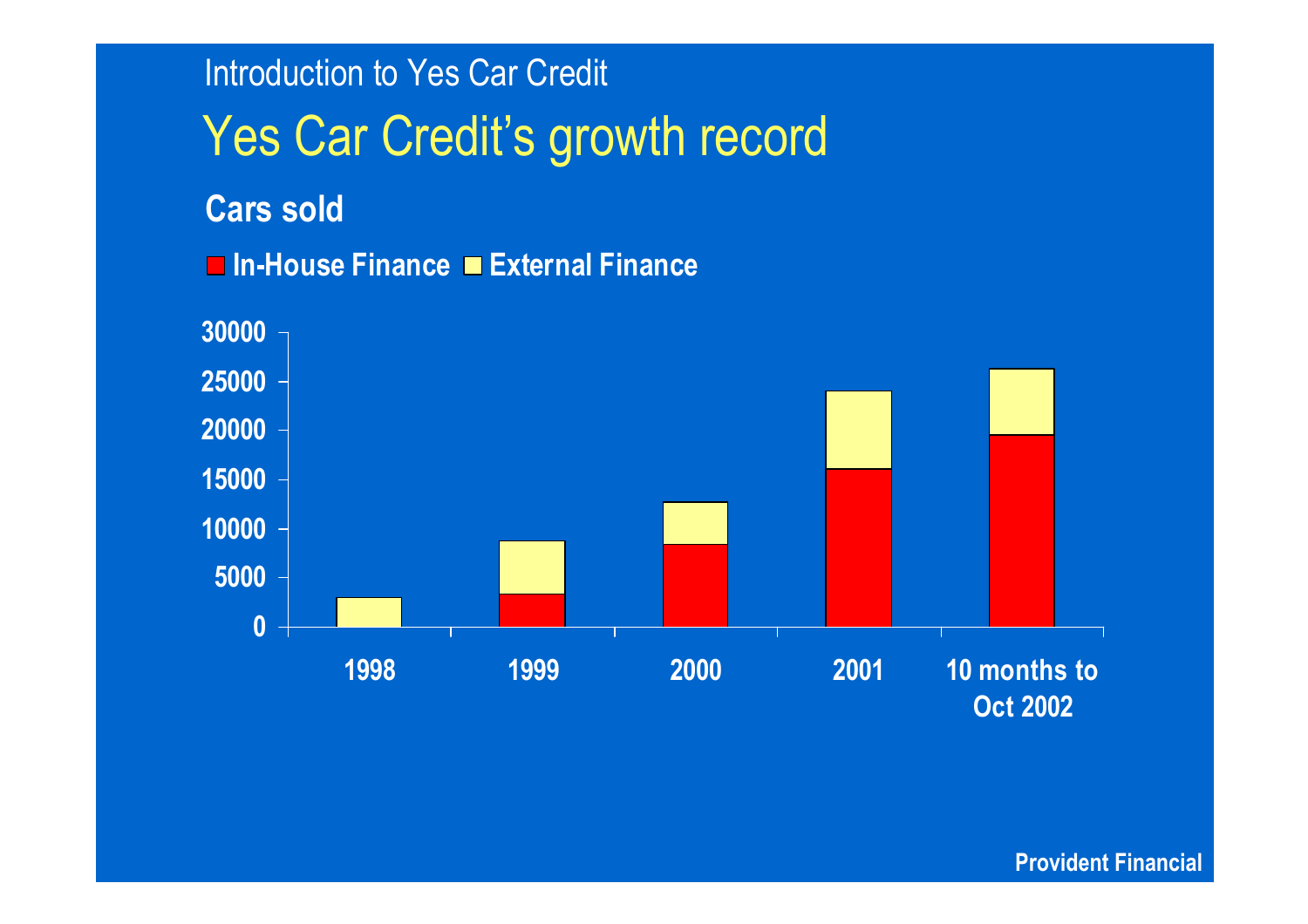Yes Car Credit's growth record **Introduction to Yes Car Credit In - Hous e Financ e E x t ernal Financ e Cars sold**

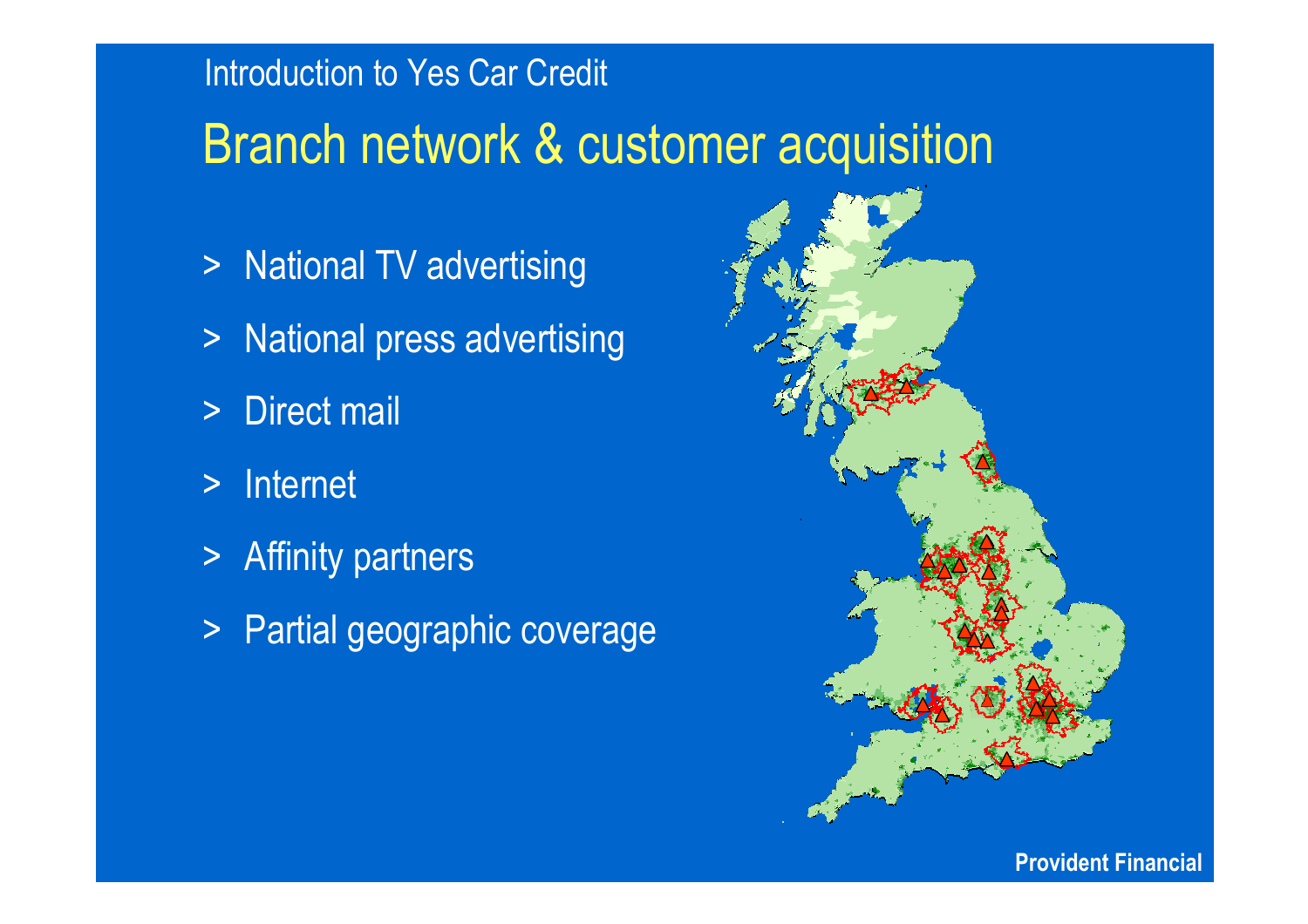## Branch network & customer acquisition

- > National TV advertising
- > National press advertising
- $\geq$ Direct mail
- $\geq$ Internet
- > Affinity partners
- > Partial geographic coverage

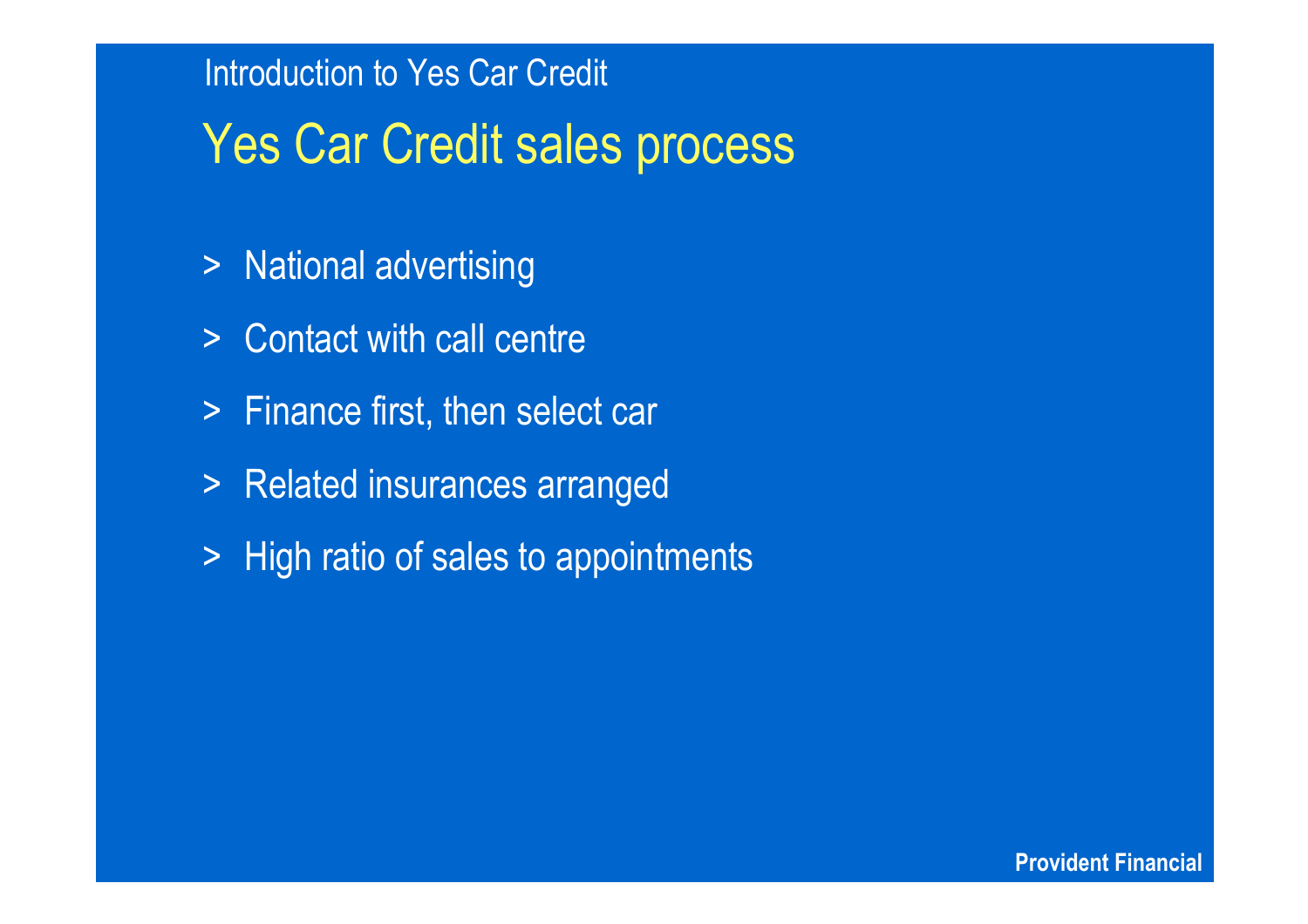## Yes Car Credit sales process

- > National advertising
- > Contact with call centre
- > Finance first, then select car
- > Related insurances arranged
- > High ratio of sales to appointments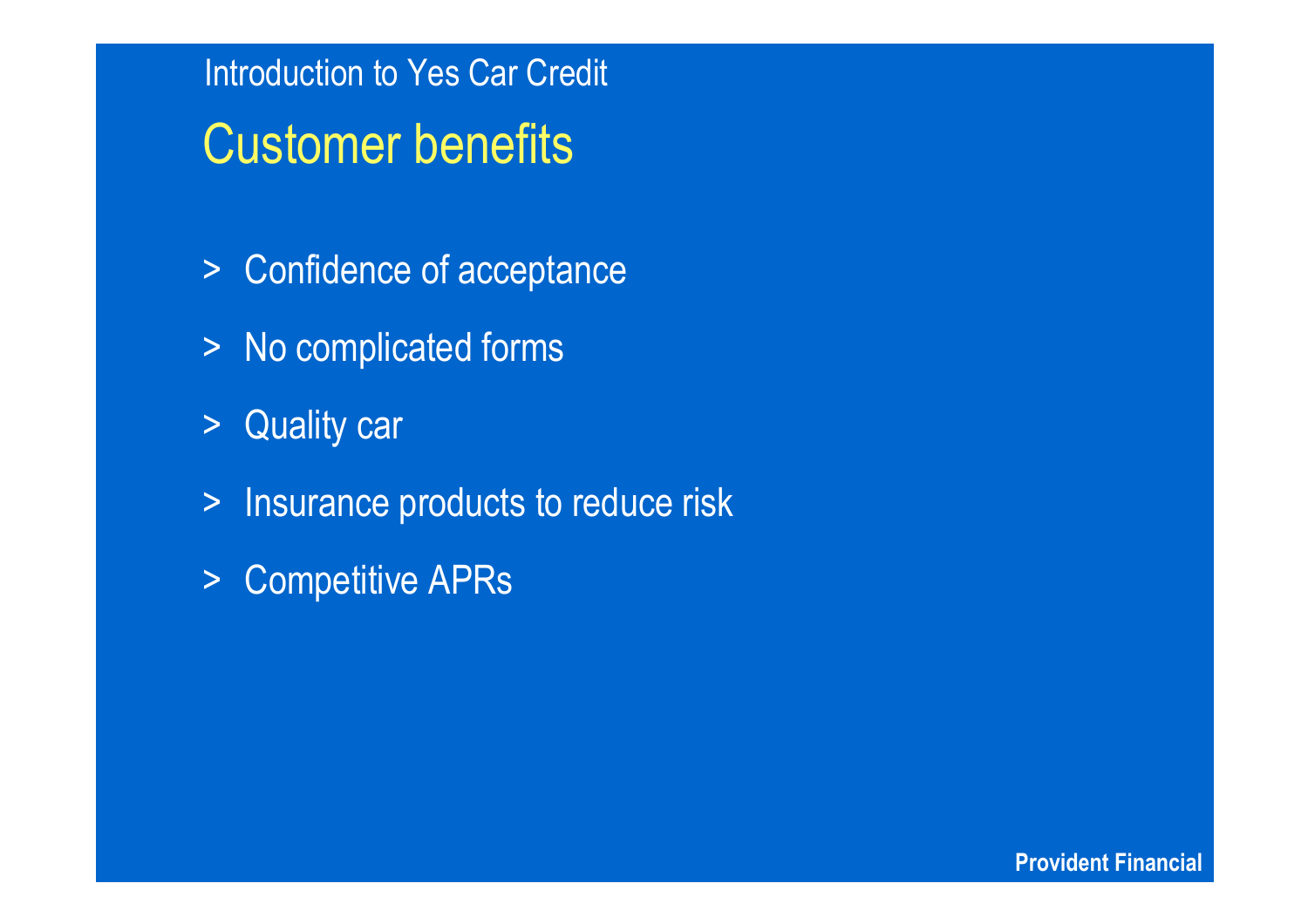Introduction to Yes Car Credit Customer benefits

- > Confidence of acceptance
- > No complicated forms
- > Quality car
- > Insurance products to reduce risk
- >Competitive APRs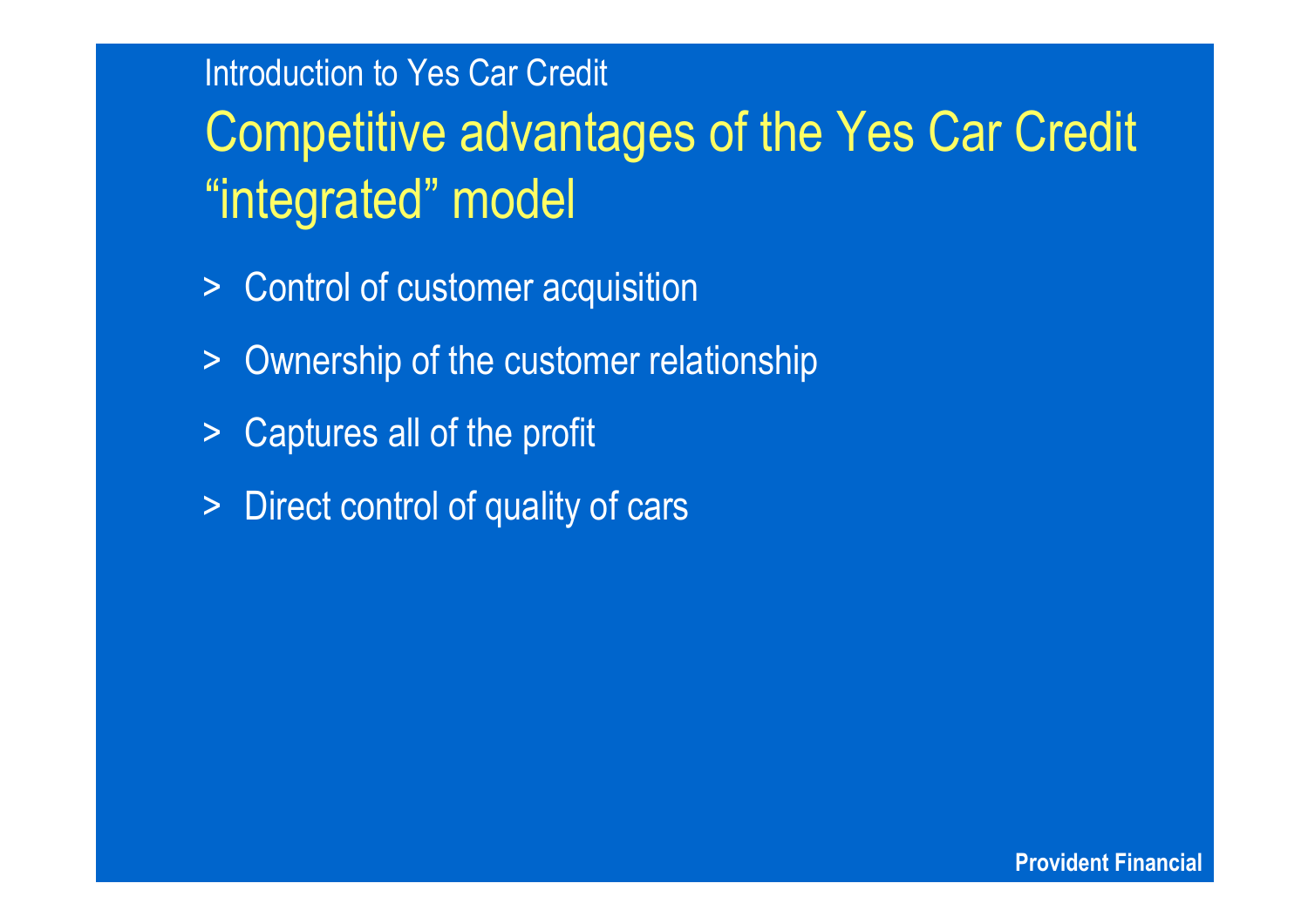Competitive advantages of the Yes Car Credit "integrated" model

- > Control of customer acquisition
- $\geq$ Ownership of the customer relationship
- $\geq$ Captures all of the profit
- > Direct control of quality of cars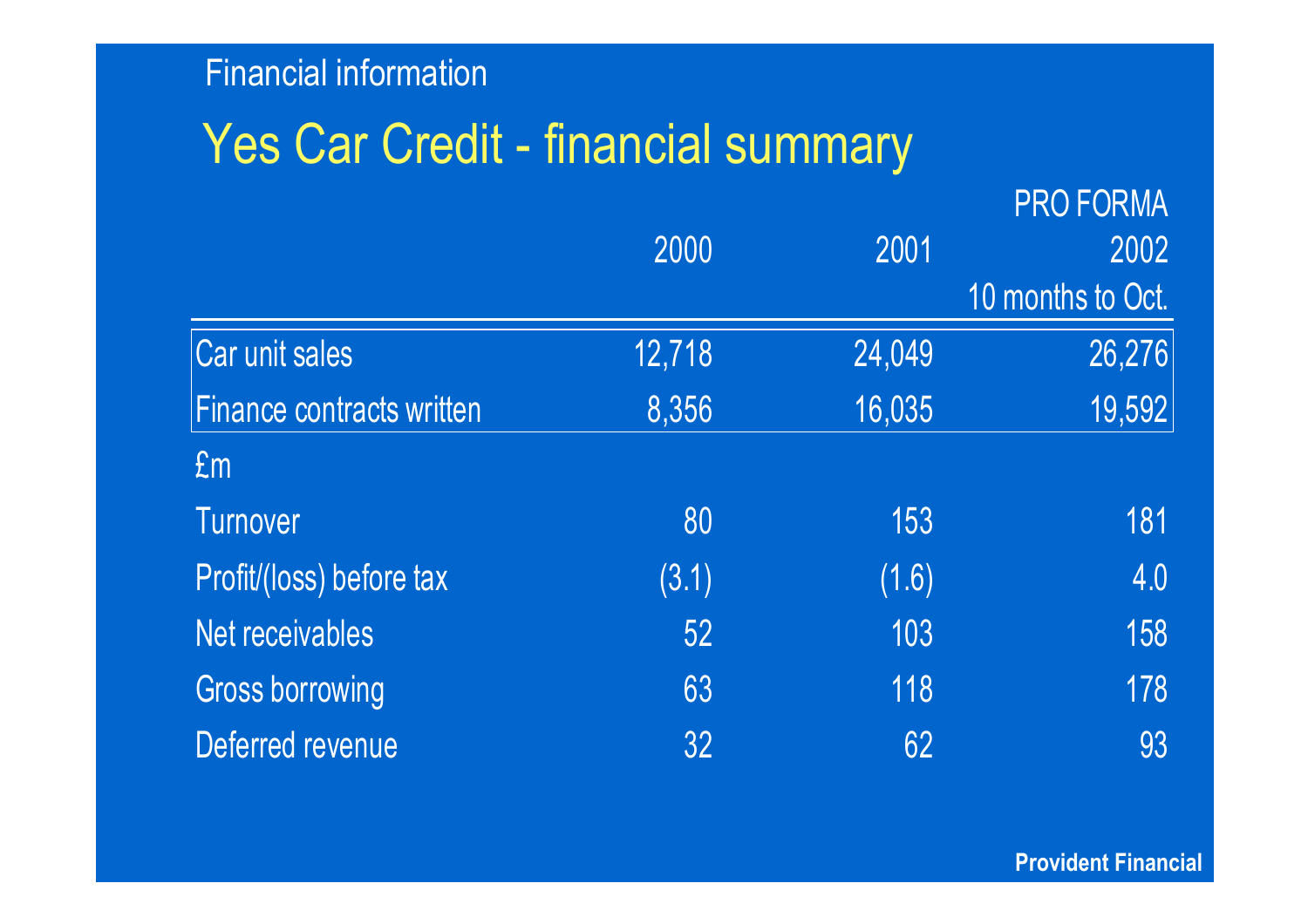## Yes Car Credit - financial summary

|                                  |        |        | <b>PRO FORMA</b>  |  |
|----------------------------------|--------|--------|-------------------|--|
|                                  | 2000   | 2001   | 2002              |  |
|                                  |        |        | 10 months to Oct. |  |
| Car unit sales                   | 12,718 | 24,049 | 26,276            |  |
| <b>Finance contracts written</b> | 8,356  | 16,035 | 19,592            |  |
| Em                               |        |        |                   |  |
| <b>Turnover</b>                  | 80     | 153    | 181               |  |
| Profit/(loss) before tax         | (3.1)  | (1.6)  | 4.0               |  |
| Net receivables                  | 52     | 103    | 158               |  |
| <b>Gross borrowing</b>           | 63     | 118    | 178               |  |
| Deferred revenue                 | 32     | 62     | 93                |  |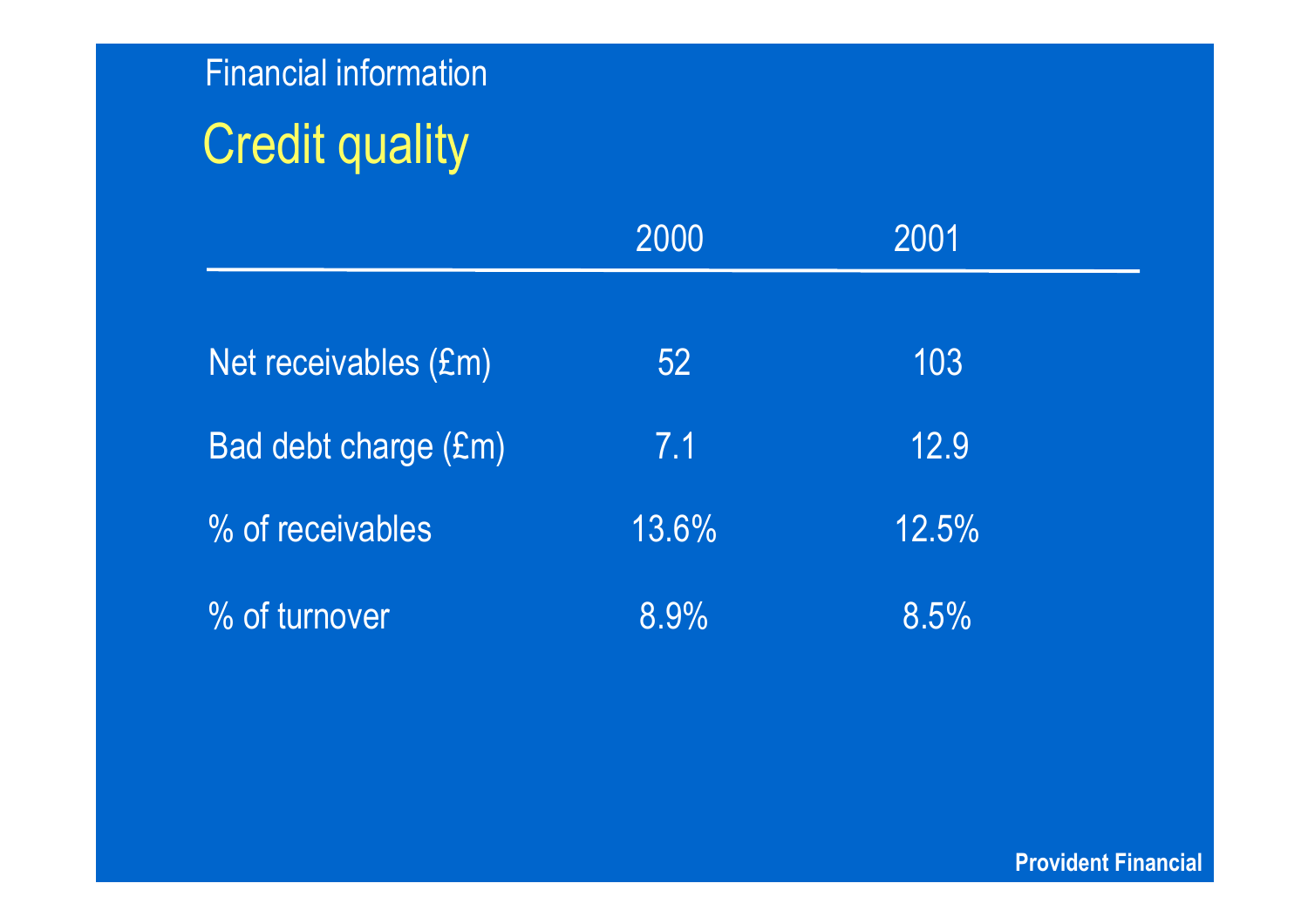## Credit quality

|                      | 2000  | 2001  |  |
|----------------------|-------|-------|--|
|                      |       |       |  |
| Net receivables (£m) | 52    | 103   |  |
| Bad debt charge (£m) | 7.1   | 12.9  |  |
| % of receivables     | 13.6% | 12.5% |  |
| % of turnover        | 8.9%  | 8.5%  |  |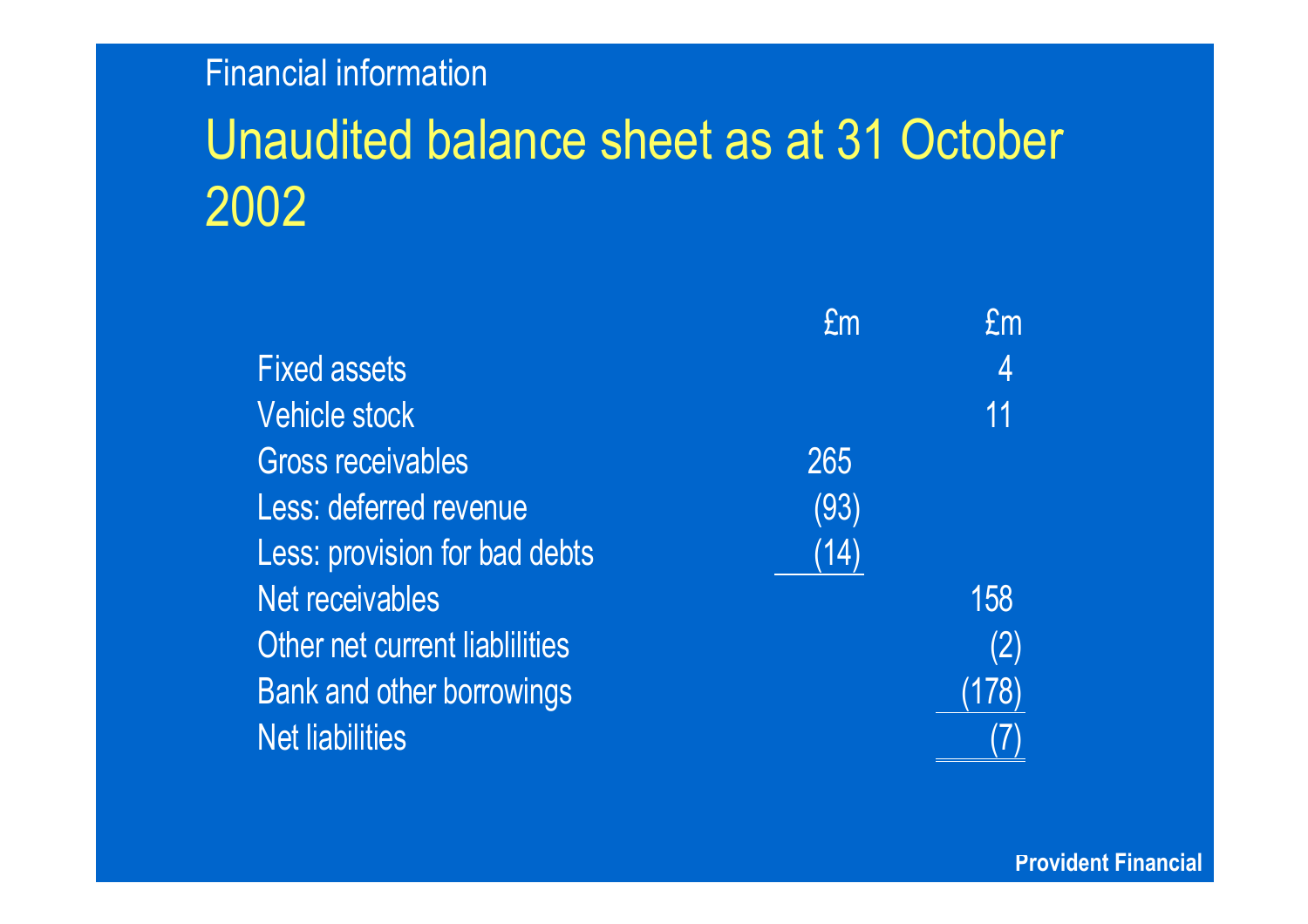## Unaudited balance sheet as at 31 October 2002

|                                  | £m   | £m    |
|----------------------------------|------|-------|
| <b>Fixed assets</b>              |      | 4     |
| <b>Vehicle stock</b>             |      | 11    |
| <b>Gross receivables</b>         | 265  |       |
| Less: deferred revenue           | (93) |       |
| Less: provision for bad debts    | (14) |       |
| Net receivables                  |      | 158   |
| Other net current liablilities   |      | (2)   |
| <b>Bank and other borrowings</b> |      | (178) |
| <b>Net liabilities</b>           |      |       |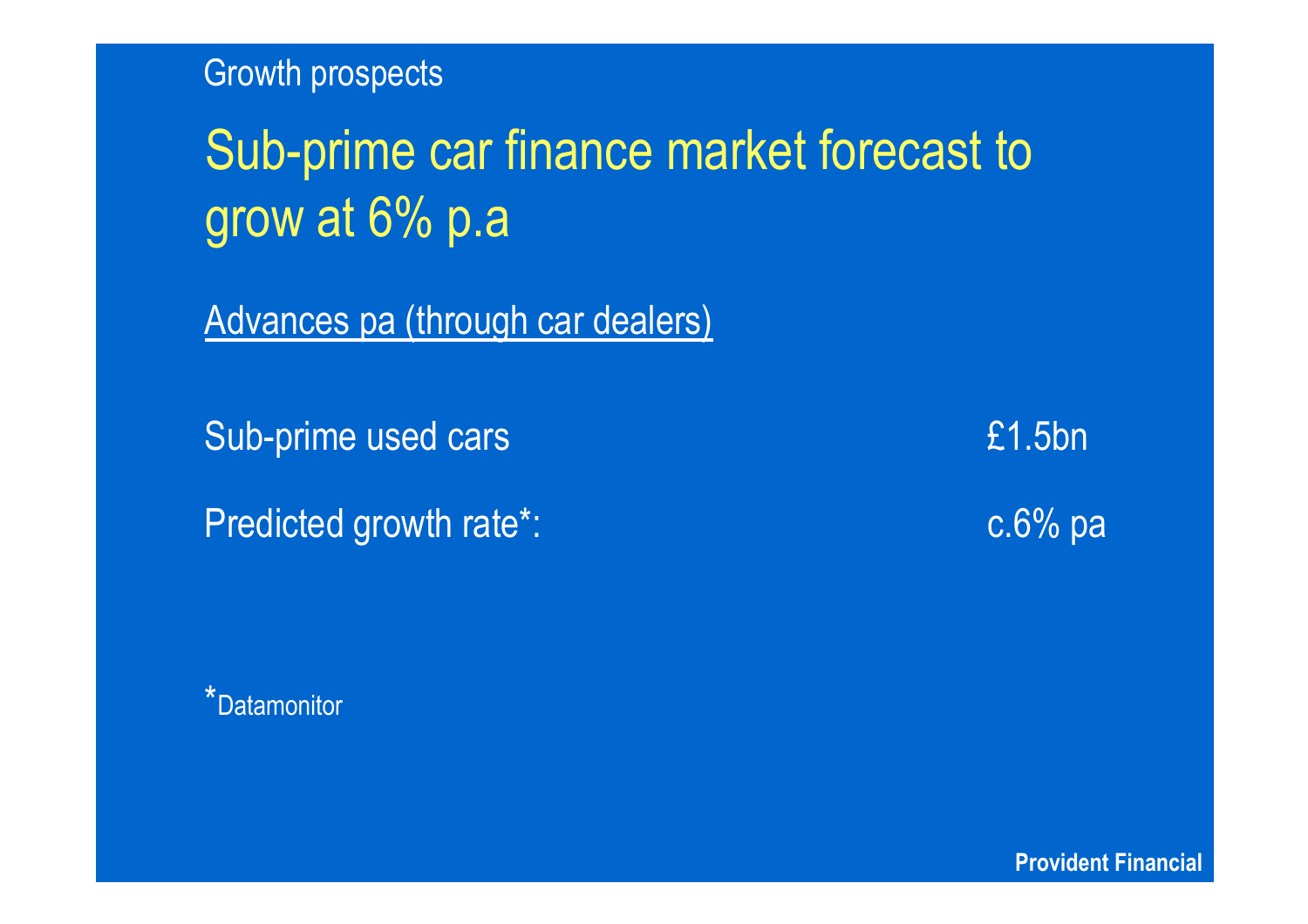Growth prospects

# Sub-prime car finance market forecast to grow at 6% p.a

Advances pa (through car dealers)

Sub-prime used cars £1.5bn

Predicted growth rate\*: example and research c.6% particles of the c.6% particles of the c.6% particles of the c.6% particles of the c.6% particles of the c.6% particles of the c.6% particles of the c.6% particles of the c

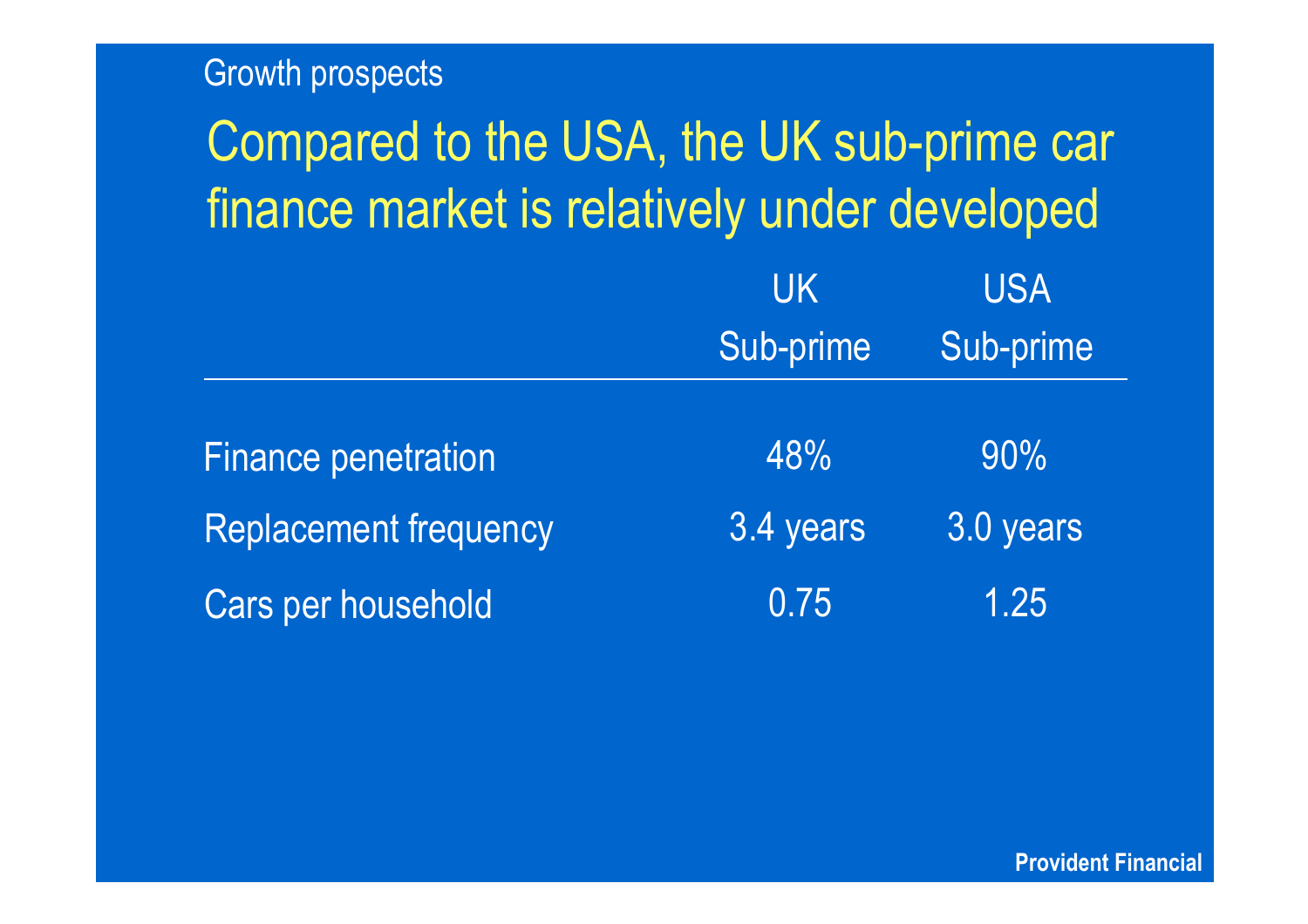#### Growth prospects

## Compared to the USA, the UK sub-prime car finance market is relatively under developed UKSub-prime USASub-prime Finance penetration and the 48% 90% Replacement frequency 3.4 years 3.0 years Cars per household and the U.75 1.25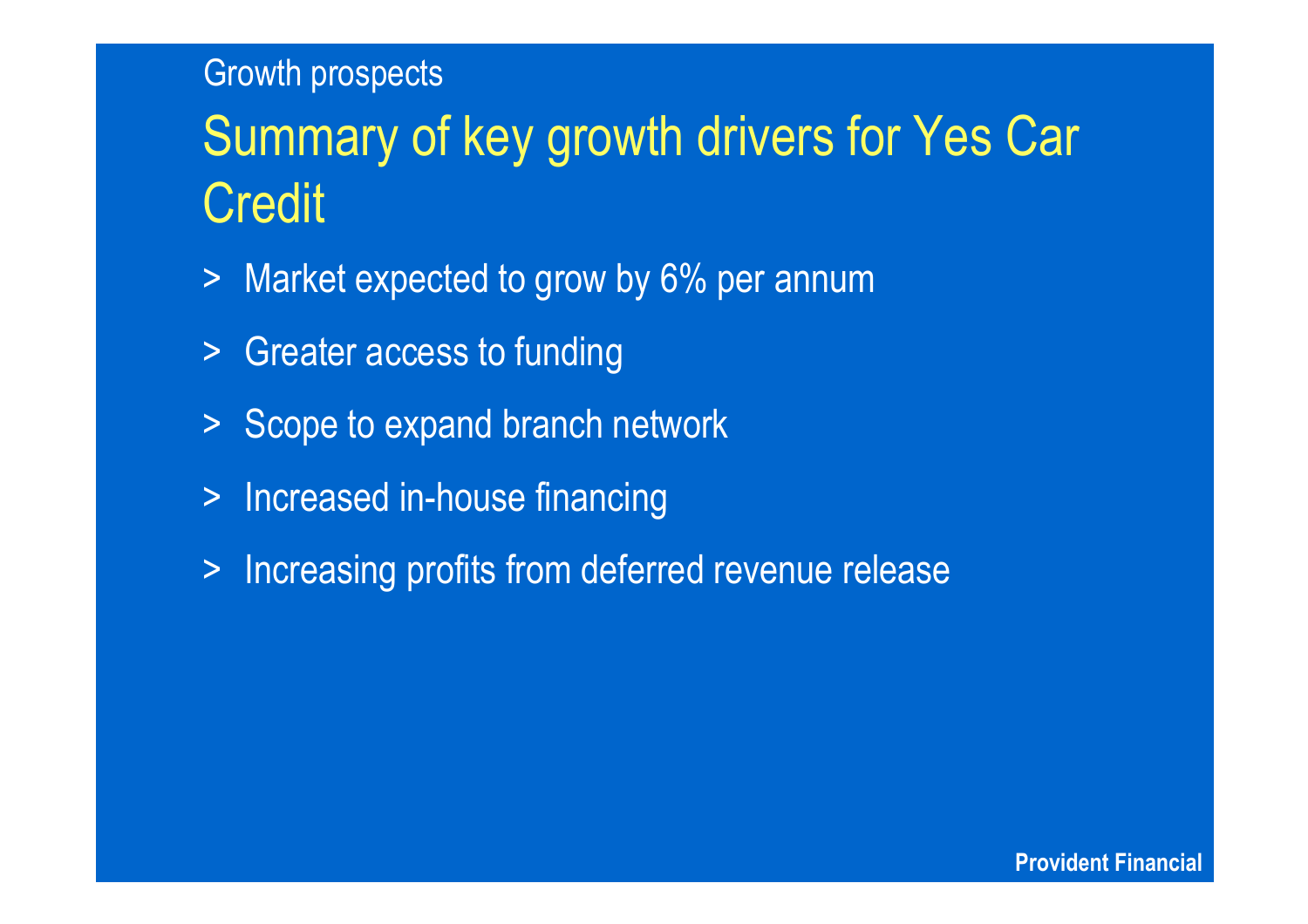### Growth prospects

# Summary of key growth drivers for Yes Car Credit

- > Market expected to grow by 6% per annum
- > Greater access to funding
- > Scope to expand branch network
- $>$ Increased in-house financing
- > Increasing profits from deferred revenue release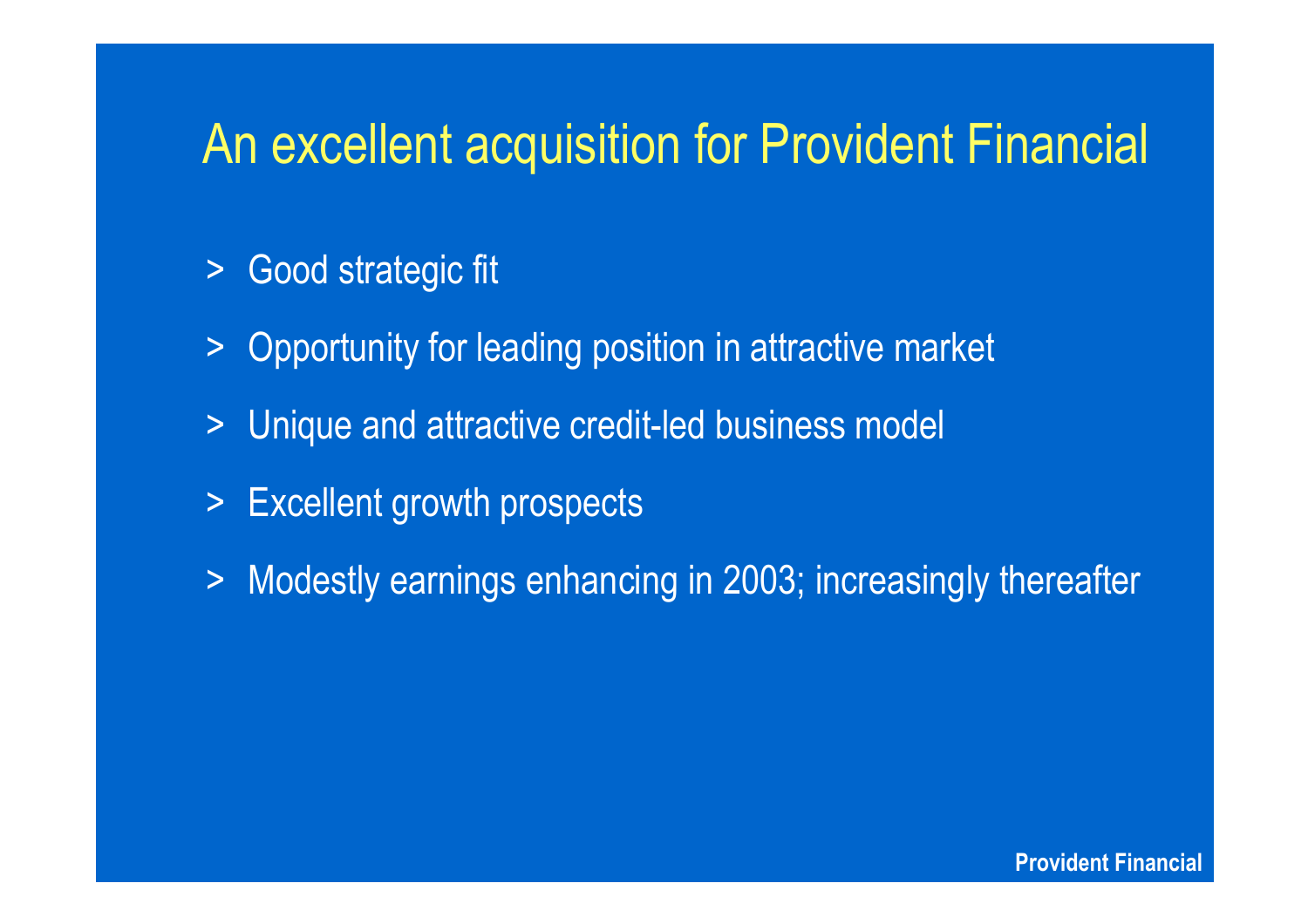### An excellent acquisition for Provident Financial

- > Good strategic fit
- $\geq$ Opportunity for leading position in attractive market
- $\geq$ Unique and attractive credit-led business model
- > Excellent growth prospects
- $\geq$ Modestly earnings enhancing in 2003; increasingly thereafter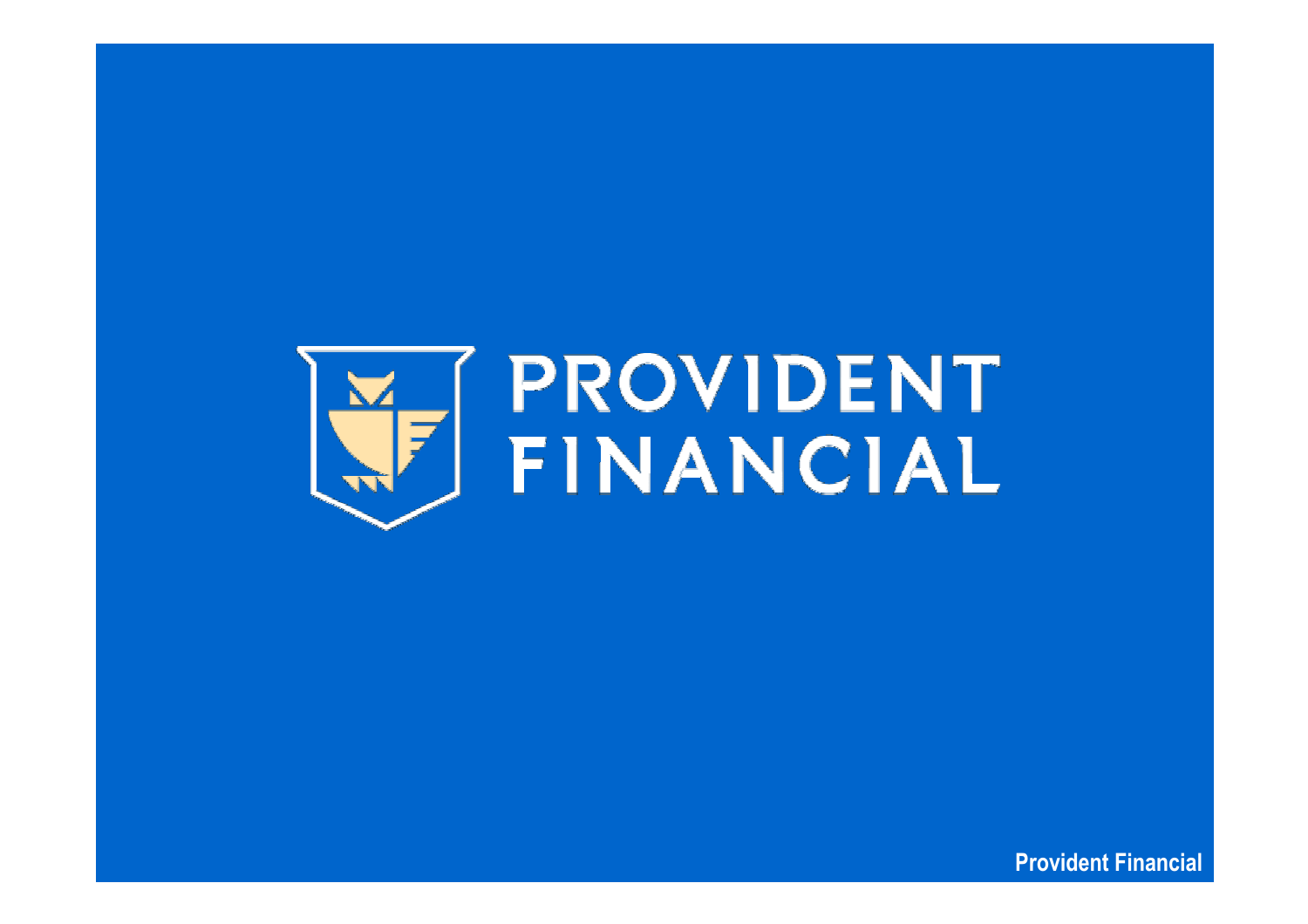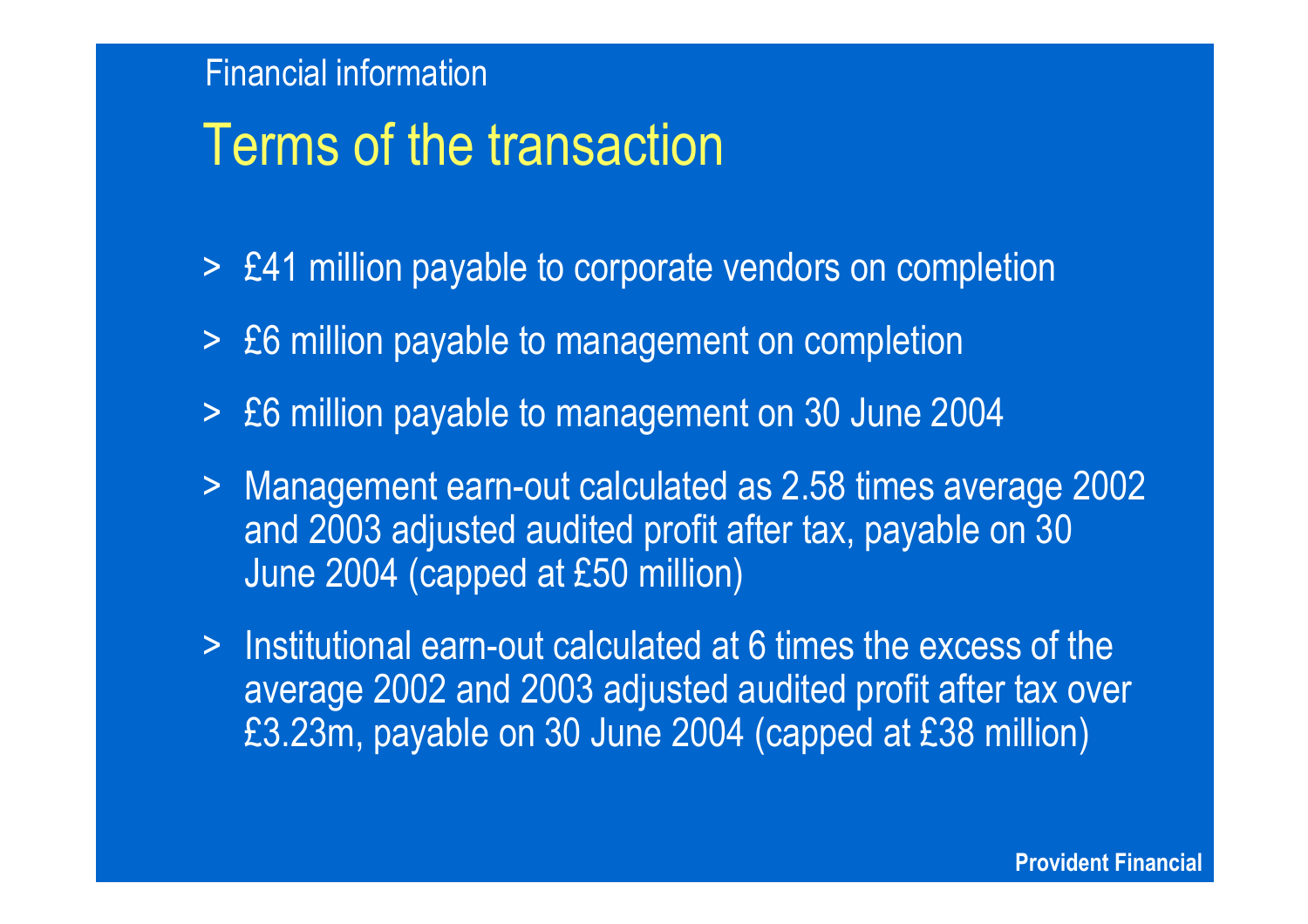## Terms of the transaction

- > £41 million payable to corporate vendors on completion
- > £6 million payable to management on completion
- > £6 million payable to management on 30 June 2004
- > Management earn-out calculated as 2.58 times average 2002 and 2003 adjusted audited profit after tax, payable on 30 June 2004 (capped at £50 million)
- > Institutional earn-out calculated at 6 times the excess of the average 2002 and 2003 adjusted audited profit after tax over £3.23m, payable on 30 June 2004 (capped at £38 million)